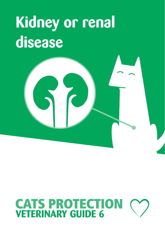## **Kidney or renal disease**



# **CATS PROTECTION**<br>**VETERINARY GUIDE 6**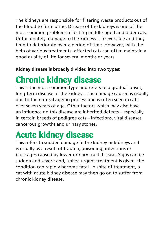The kidneys are responsible for filtering waste products out of the blood to form urine. Disease of the kidneys is one of the most common problems affecting middle-aged and older cats. Unfortunately, damage to the kidneys is irreversible and they tend to deteriorate over a period of time. However, with the help of various treatments, affected cats can often maintain a good quality of life for several months or years.

#### **Kidney disease is broadly divided into two types:**

## **Chronic kidney disease**

This is the most common type and refers to a gradual-onset, long-term disease of the kidneys. The damage caused is usually due to the natural ageing process and is often seen in cats over seven years of age. Other factors which may also have an influence on this disease are inherited defects – especially in certain breeds of pedigree cats – infections, viral diseases, cancerous growths and urinary stones.

## **Acute kidney disease**

This refers to sudden damage to the kidney or kidneys and is usually as a result of trauma, poisoning, infections or blockages caused by lower urinary tract disease. Signs can be sudden and severe and, unless urgent treatment is given, the condition can rapidly become fatal. In spite of treatment, a cat with acute kidney disease may then go on to suffer from chronic kidney disease.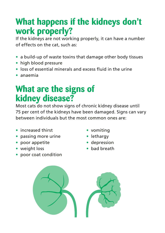### **What happens if the kidneys don't work properly?**

If the kidneys are not working properly, it can have a number of effects on the cat, such as:

- **•** a build-up of waste toxins that damage other body tissues
- **•** high blood pressure
- **•** loss of essential minerals and excess fluid in the urine
- **•** anaemia

#### **What are the signs of kidney disease?**

Most cats do not show signs of chronic kidney disease until 75 per cent of the kidneys have been damaged. Signs can vary between individuals but the most common ones are:

- **•** increased thirst
- **•** passing more urine
- **•** poor appetite
- **•** weight loss
- **•** poor coat condition
- **•** vomiting
- **•** lethargy
- **•** depression
- **•** bad breath

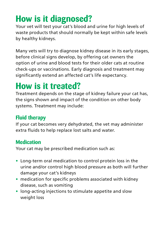## **How is it diagnosed?**

Your vet will test your cat's blood and urine for high levels of waste products that should normally be kept within safe levels by healthy kidneys.

Many vets will try to diagnose kidney disease in its early stages, before clinical signs develop, by offering cat owners the option of urine and blood tests for their older cats at routine check-ups or vaccinations. Early diagnosis and treatment may significantly extend an affected cat's life expectancy.

### **How is it treated?**

Treatment depends on the stage of kidney failure your cat has, the signs shown and impact of the condition on other body systems. Treatment may include:

#### **Fluid therapy**

If your cat becomes very dehydrated, the vet may administer extra fluids to help replace lost salts and water.

#### **Medication**

Your cat may be prescribed medication such as:

- **•** Long-term oral medication to control protein loss in the urine and/or control high blood pressure as both will further damage your cat's kidneys
- **•** medication for specific problems associated with kidney disease, such as vomiting
- **•** long-acting injections to stimulate appetite and slow weight loss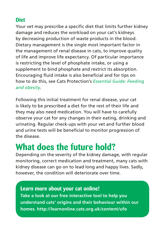#### **Diet**

Your vet may prescribe a specific diet that limits further kidney damage and reduces the workload on your cat's kidneys by decreasing production of waste products in the blood. Dietary management is the single most important factor in the management of renal disease in cats, to improve quality of life and improve life expectancy. Of particular importance is restricting the level of phosphate intake, or using a supplement to bind phosphate and restrict its absorption. Encouraging fluid intake is also beneficial and for tips on how to do this, see Cats Protection's *Essential Guide: Feeding and obesity*.

Following this initial treatment for renal disease, your cat is likely to be prescribed a diet for the rest of their life and they may also need medication. You will have to carefully observe your cat for any changes in their eating, drinking and urinating. Regular check-ups with your vet and further blood and urine tests will be beneficial to monitor progression of the disease.

## **What does the future hold?**

Depending on the severity of the kidney damage, with regular monitoring, correct medication and treatment, many cats with kidney disease can go on to lead long and happy lives. Sadly, however, the condition will deteriorate over time.

**Learn more about your cat online! Take a look at our free interactive tool to help you understand cats' origins and their behaviour within our homes. http://learnonline.cats.org.uk/content/ufo**